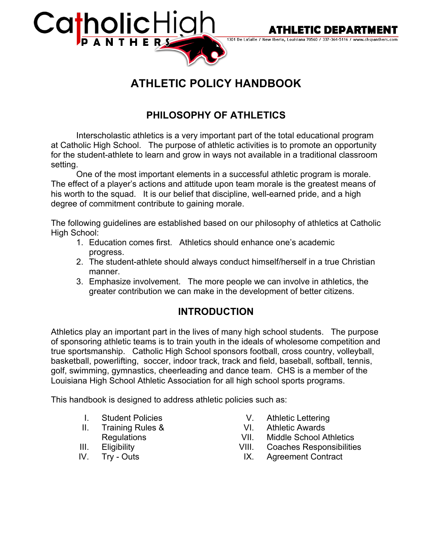



1301 De LaSalle / New Iberia, Louisiana 70560 / 337-364-5116 / www.chspanthers.com

# **ATHLETIC POLICY HANDBOOK**

## **PHILOSOPHY OF ATHLETICS**

Interscholastic athletics is a very important part of the total educational program at Catholic High School. The purpose of athletic activities is to promote an opportunity for the student-athlete to learn and grow in ways not available in a traditional classroom setting.

One of the most important elements in a successful athletic program is morale. The effect of a player's actions and attitude upon team morale is the greatest means of his worth to the squad. It is our belief that discipline, well-earned pride, and a high degree of commitment contribute to gaining morale.

The following guidelines are established based on our philosophy of athletics at Catholic High School:

- 1. Education comes first. Athletics should enhance one's academic progress.
- 2. The student-athlete should always conduct himself/herself in a true Christian manner.
- 3. Emphasize involvement. The more people we can involve in athletics, the greater contribution we can make in the development of better citizens.

## **INTRODUCTION**

Athletics play an important part in the lives of many high school students. The purpose of sponsoring athletic teams is to train youth in the ideals of wholesome competition and true sportsmanship. Catholic High School sponsors football, cross country, volleyball, basketball, powerlifting, soccer, indoor track, track and field, baseball, softball, tennis, golf, swimming, gymnastics, cheerleading and dance team. CHS is a member of the Louisiana High School Athletic Association for all high school sports programs.

This handbook is designed to address athletic policies such as:

- I. Student Policies
- II. Training Rules &
- **Regulations**
- III. Eligibility
- IV. Try Outs
- V. Athletic Lettering
- VI. Athletic Awards
- VII. Middle School Athletics
- VIII. Coaches Responsibilities
- IX. Agreement Contract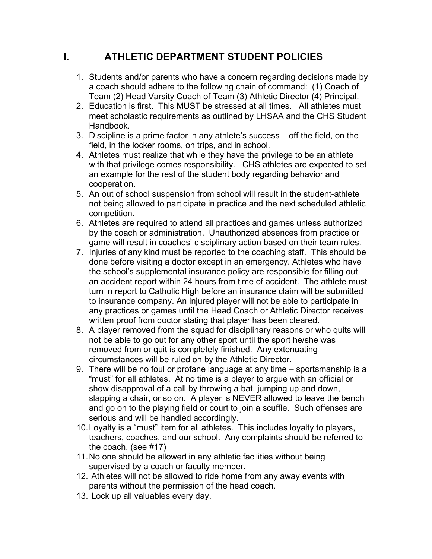## **I. ATHLETIC DEPARTMENT STUDENT POLICIES**

- 1. Students and/or parents who have a concern regarding decisions made by a coach should adhere to the following chain of command: (1) Coach of Team (2) Head Varsity Coach of Team (3) Athletic Director (4) Principal.
- 2. Education is first. This MUST be stressed at all times. All athletes must meet scholastic requirements as outlined by LHSAA and the CHS Student Handbook.
- 3. Discipline is a prime factor in any athlete's success off the field, on the field, in the locker rooms, on trips, and in school.
- 4. Athletes must realize that while they have the privilege to be an athlete with that privilege comes responsibility. CHS athletes are expected to set an example for the rest of the student body regarding behavior and cooperation.
- 5. An out of school suspension from school will result in the student-athlete not being allowed to participate in practice and the next scheduled athletic competition.
- 6. Athletes are required to attend all practices and games unless authorized by the coach or administration. Unauthorized absences from practice or game will result in coaches' disciplinary action based on their team rules.
- 7. Injuries of any kind must be reported to the coaching staff. This should be done before visiting a doctor except in an emergency. Athletes who have the school's supplemental insurance policy are responsible for filling out an accident report within 24 hours from time of accident. The athlete must turn in report to Catholic High before an insurance claim will be submitted to insurance company. An injured player will not be able to participate in any practices or games until the Head Coach or Athletic Director receives written proof from doctor stating that player has been cleared.
- 8. A player removed from the squad for disciplinary reasons or who quits will not be able to go out for any other sport until the sport he/she was removed from or quit is completely finished. Any extenuating circumstances will be ruled on by the Athletic Director.
- 9. There will be no foul or profane language at any time sportsmanship is a "must" for all athletes. At no time is a player to argue with an official or show disapproval of a call by throwing a bat, jumping up and down, slapping a chair, or so on. A player is NEVER allowed to leave the bench and go on to the playing field or court to join a scuffle. Such offenses are serious and will be handled accordingly.
- 10.Loyalty is a "must" item for all athletes. This includes loyalty to players, teachers, coaches, and our school. Any complaints should be referred to the coach. (see #17)
- 11.No one should be allowed in any athletic facilities without being supervised by a coach or faculty member.
- 12. Athletes will not be allowed to ride home from any away events with parents without the permission of the head coach.
- 13. Lock up all valuables every day.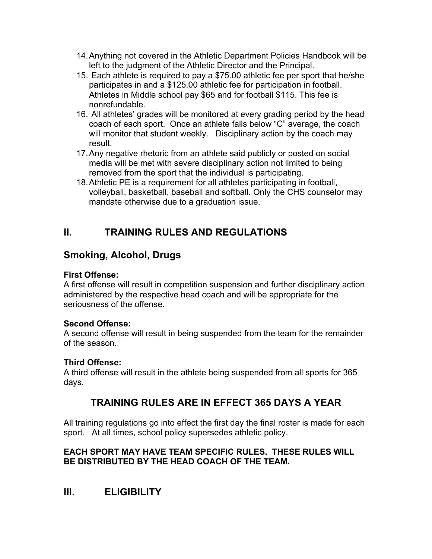- 14.Anything not covered in the Athletic Department Policies Handbook will be left to the judgment of the Athletic Director and the Principal.
- 15. Each athlete is required to pay a \$75.00 athletic fee per sport that he/she participates in and a \$125.00 athletic fee for participation in football. Athletes in Middle school pay \$65 and for football \$115. This fee is nonrefundable.
- 16. All athletes' grades will be monitored at every grading period by the head coach of each sport. Once an athlete falls below "C" average, the coach will monitor that student weekly. Disciplinary action by the coach may result.
- 17.Any negative rhetoric from an athlete said publicly or posted on social media will be met with severe disciplinary action not limited to being removed from the sport that the individual is participating.
- 18.Athletic PE is a requirement for all athletes participating in football, volleyball, basketball, baseball and softball. Only the CHS counselor may mandate otherwise due to a graduation issue.

## **II. TRAINING RULES AND REGULATIONS**

## **Smoking, Alcohol, Drugs**

### **First Offense:**

A first offense will result in competition suspension and further disciplinary action administered by the respective head coach and will be appropriate for the seriousness of the offense.

### **Second Offense:**

A second offense will result in being suspended from the team for the remainder of the season.

### **Third Offense:**

A third offense will result in the athlete being suspended from all sports for 365 days.

## **TRAINING RULES ARE IN EFFECT 365 DAYS A YEAR**

All training regulations go into effect the first day the final roster is made for each sport. At all times, school policy supersedes athletic policy.

### **EACH SPORT MAY HAVE TEAM SPECIFIC RULES. THESE RULES WILL BE DISTRIBUTED BY THE HEAD COACH OF THE TEAM.**

## **III. ELIGIBILITY**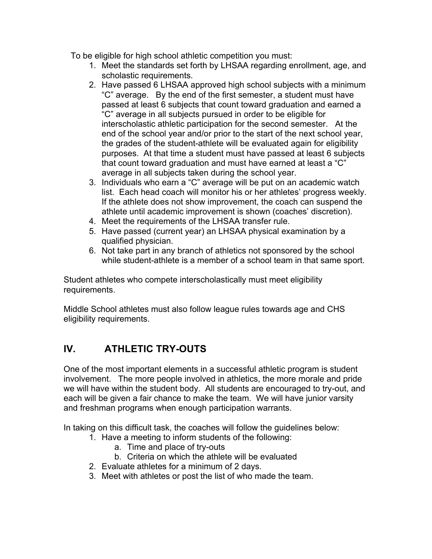To be eligible for high school athletic competition you must:

- 1. Meet the standards set forth by LHSAA regarding enrollment, age, and scholastic requirements.
- 2. Have passed 6 LHSAA approved high school subjects with a minimum "C" average. By the end of the first semester, a student must have passed at least 6 subjects that count toward graduation and earned a "C" average in all subjects pursued in order to be eligible for interscholastic athletic participation for the second semester. At the end of the school year and/or prior to the start of the next school year, the grades of the student-athlete will be evaluated again for eligibility purposes. At that time a student must have passed at least 6 subjects that count toward graduation and must have earned at least a "C" average in all subjects taken during the school year.
- 3. Individuals who earn a "C" average will be put on an academic watch list. Each head coach will monitor his or her athletes' progress weekly. If the athlete does not show improvement, the coach can suspend the athlete until academic improvement is shown (coaches' discretion).
- 4. Meet the requirements of the LHSAA transfer rule.
- 5. Have passed (current year) an LHSAA physical examination by a qualified physician.
- 6. Not take part in any branch of athletics not sponsored by the school while student-athlete is a member of a school team in that same sport.

Student athletes who compete interscholastically must meet eligibility requirements.

Middle School athletes must also follow league rules towards age and CHS eligibility requirements.

## **IV. ATHLETIC TRY-OUTS**

One of the most important elements in a successful athletic program is student involvement. The more people involved in athletics, the more morale and pride we will have within the student body. All students are encouraged to try-out, and each will be given a fair chance to make the team. We will have junior varsity and freshman programs when enough participation warrants.

In taking on this difficult task, the coaches will follow the guidelines below:

- 1. Have a meeting to inform students of the following:
	- a. Time and place of try-outs
	- b. Criteria on which the athlete will be evaluated
- 2. Evaluate athletes for a minimum of 2 days.
- 3. Meet with athletes or post the list of who made the team.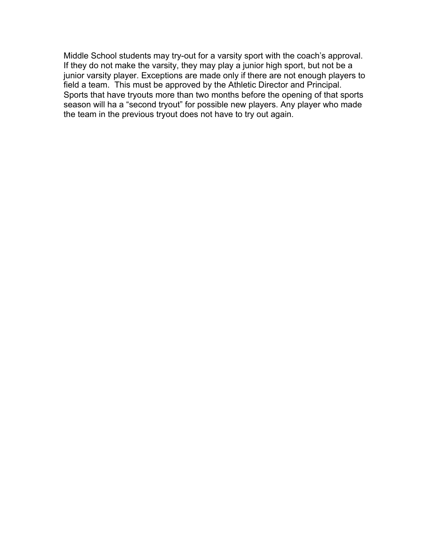Middle School students may try-out for a varsity sport with the coach's approval. If they do not make the varsity, they may play a junior high sport, but not be a junior varsity player. Exceptions are made only if there are not enough players to field a team. This must be approved by the Athletic Director and Principal. Sports that have tryouts more than two months before the opening of that sports season will ha a "second tryout" for possible new players. Any player who made the team in the previous tryout does not have to try out again.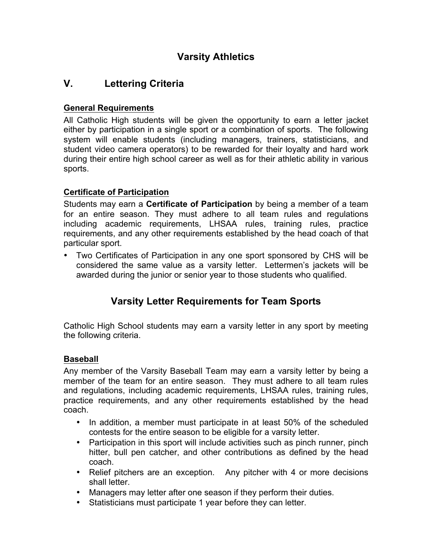## **Varsity Athletics**

## **V. Lettering Criteria**

### **General Requirements**

All Catholic High students will be given the opportunity to earn a letter jacket either by participation in a single sport or a combination of sports. The following system will enable students (including managers, trainers, statisticians, and student video camera operators) to be rewarded for their loyalty and hard work during their entire high school career as well as for their athletic ability in various sports.

### **Certificate of Participation**

Students may earn a **Certificate of Participation** by being a member of a team for an entire season. They must adhere to all team rules and regulations including academic requirements, LHSAA rules, training rules, practice requirements, and any other requirements established by the head coach of that particular sport.

• Two Certificates of Participation in any one sport sponsored by CHS will be considered the same value as a varsity letter. Lettermen's jackets will be awarded during the junior or senior year to those students who qualified.

## **Varsity Letter Requirements for Team Sports**

Catholic High School students may earn a varsity letter in any sport by meeting the following criteria.

### **Baseball**

Any member of the Varsity Baseball Team may earn a varsity letter by being a member of the team for an entire season. They must adhere to all team rules and regulations, including academic requirements, LHSAA rules, training rules, practice requirements, and any other requirements established by the head coach.

- In addition, a member must participate in at least 50% of the scheduled contests for the entire season to be eligible for a varsity letter.
- Participation in this sport will include activities such as pinch runner, pinch hitter, bull pen catcher, and other contributions as defined by the head coach.
- Relief pitchers are an exception. Any pitcher with 4 or more decisions shall letter.
- Managers may letter after one season if they perform their duties.
- Statisticians must participate 1 year before they can letter.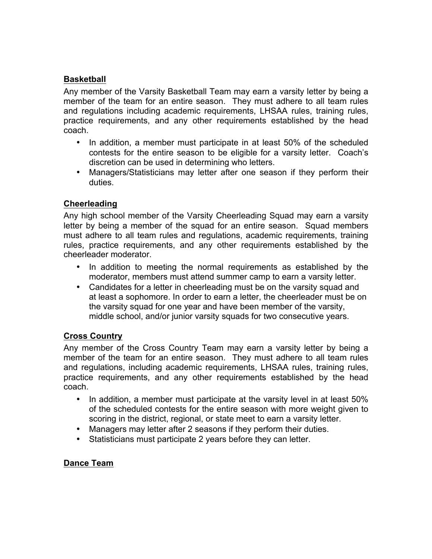### **Basketball**

Any member of the Varsity Basketball Team may earn a varsity letter by being a member of the team for an entire season. They must adhere to all team rules and regulations including academic requirements, LHSAA rules, training rules, practice requirements, and any other requirements established by the head coach.

- In addition, a member must participate in at least 50% of the scheduled contests for the entire season to be eligible for a varsity letter. Coach's discretion can be used in determining who letters.
- Managers/Statisticians may letter after one season if they perform their duties.

#### **Cheerleading**

Any high school member of the Varsity Cheerleading Squad may earn a varsity letter by being a member of the squad for an entire season. Squad members must adhere to all team rules and regulations, academic requirements, training rules, practice requirements, and any other requirements established by the cheerleader moderator.

- In addition to meeting the normal requirements as established by the moderator, members must attend summer camp to earn a varsity letter.
- Candidates for a letter in cheerleading must be on the varsity squad and at least a sophomore. In order to earn a letter, the cheerleader must be on the varsity squad for one year and have been member of the varsity, middle school, and/or junior varsity squads for two consecutive years.

#### **Cross Country**

Any member of the Cross Country Team may earn a varsity letter by being a member of the team for an entire season. They must adhere to all team rules and regulations, including academic requirements, LHSAA rules, training rules, practice requirements, and any other requirements established by the head coach.

- In addition, a member must participate at the varsity level in at least 50% of the scheduled contests for the entire season with more weight given to scoring in the district, regional, or state meet to earn a varsity letter.
- Managers may letter after 2 seasons if they perform their duties.
- Statisticians must participate 2 years before they can letter.

#### **Dance Team**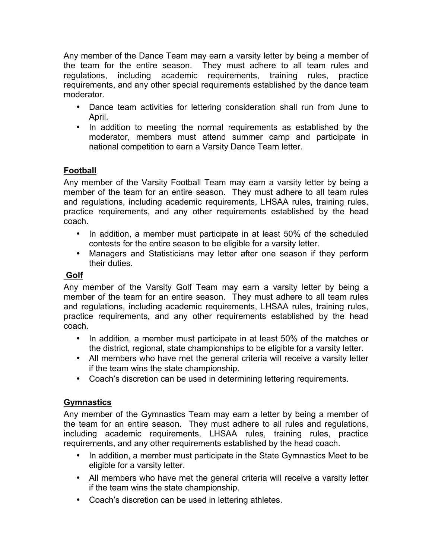Any member of the Dance Team may earn a varsity letter by being a member of the team for the entire season. They must adhere to all team rules and regulations, including academic requirements, training rules, practice requirements, and any other special requirements established by the dance team moderator.

- Dance team activities for lettering consideration shall run from June to April.
- In addition to meeting the normal requirements as established by the moderator, members must attend summer camp and participate in national competition to earn a Varsity Dance Team letter.

### **Football**

Any member of the Varsity Football Team may earn a varsity letter by being a member of the team for an entire season. They must adhere to all team rules and regulations, including academic requirements, LHSAA rules, training rules, practice requirements, and any other requirements established by the head coach.

- In addition, a member must participate in at least 50% of the scheduled contests for the entire season to be eligible for a varsity letter.
- Managers and Statisticians may letter after one season if they perform their duties.

### **Golf**

Any member of the Varsity Golf Team may earn a varsity letter by being a member of the team for an entire season. They must adhere to all team rules and regulations, including academic requirements, LHSAA rules, training rules, practice requirements, and any other requirements established by the head coach.

- In addition, a member must participate in at least 50% of the matches or the district, regional, state championships to be eligible for a varsity letter.
- All members who have met the general criteria will receive a varsity letter if the team wins the state championship.
- Coach's discretion can be used in determining lettering requirements.

### **Gymnastics**

Any member of the Gymnastics Team may earn a letter by being a member of the team for an entire season. They must adhere to all rules and regulations, including academic requirements, LHSAA rules, training rules, practice requirements, and any other requirements established by the head coach.

- In addition, a member must participate in the State Gymnastics Meet to be eligible for a varsity letter.
- All members who have met the general criteria will receive a varsity letter if the team wins the state championship.
- Coach's discretion can be used in lettering athletes.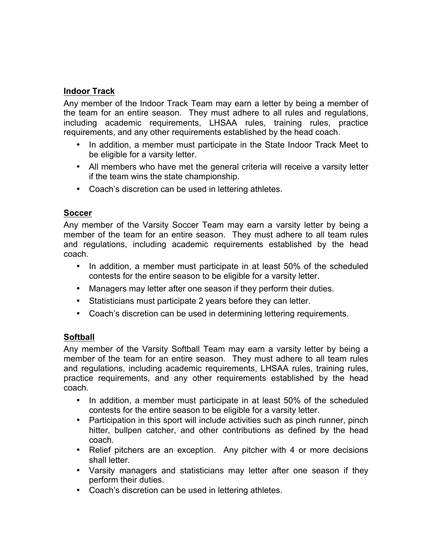#### **Indoor Track**

Any member of the Indoor Track Team may earn a letter by being a member of the team for an entire season. They must adhere to all rules and regulations, including academic requirements, LHSAA rules, training rules, practice requirements, and any other requirements established by the head coach.

- In addition, a member must participate in the State Indoor Track Meet to be eligible for a varsity letter.
- All members who have met the general criteria will receive a varsity letter if the team wins the state championship.
- Coach's discretion can be used in lettering athletes.

#### **Soccer**

Any member of the Varsity Soccer Team may earn a varsity letter by being a member of the team for an entire season. They must adhere to all team rules and regulations, including academic requirements established by the head coach.

- In addition, a member must participate in at least 50% of the scheduled contests for the entire season to be eligible for a varsity letter.
- Managers may letter after one season if they perform their duties.
- Statisticians must participate 2 years before they can letter.
- Coach's discretion can be used in determining lettering requirements.

#### **Softball**

Any member of the Varsity Softball Team may earn a varsity letter by being a member of the team for an entire season. They must adhere to all team rules and regulations, including academic requirements, LHSAA rules, training rules, practice requirements, and any other requirements established by the head coach.

- In addition, a member must participate in at least 50% of the scheduled contests for the entire season to be eligible for a varsity letter.
- Participation in this sport will include activities such as pinch runner, pinch hitter, bullpen catcher, and other contributions as defined by the head coach.
- Relief pitchers are an exception. Any pitcher with 4 or more decisions shall letter.
- Varsity managers and statisticians may letter after one season if they perform their duties.
- Coach's discretion can be used in lettering athletes.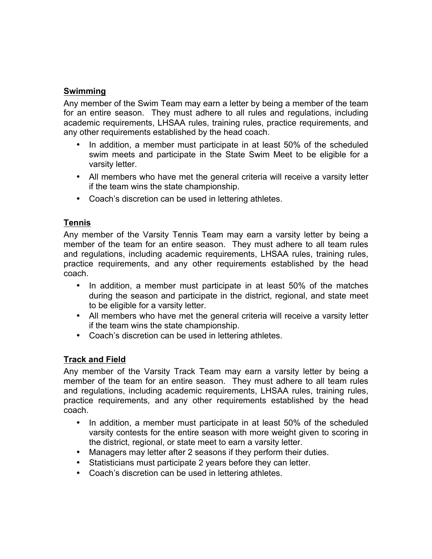#### **Swimming**

Any member of the Swim Team may earn a letter by being a member of the team for an entire season. They must adhere to all rules and regulations, including academic requirements, LHSAA rules, training rules, practice requirements, and any other requirements established by the head coach.

- In addition, a member must participate in at least 50% of the scheduled swim meets and participate in the State Swim Meet to be eligible for a varsity letter.
- All members who have met the general criteria will receive a varsity letter if the team wins the state championship.
- Coach's discretion can be used in lettering athletes.

#### **Tennis**

Any member of the Varsity Tennis Team may earn a varsity letter by being a member of the team for an entire season. They must adhere to all team rules and regulations, including academic requirements, LHSAA rules, training rules, practice requirements, and any other requirements established by the head coach.

- In addition, a member must participate in at least 50% of the matches during the season and participate in the district, regional, and state meet to be eligible for a varsity letter.
- All members who have met the general criteria will receive a varsity letter if the team wins the state championship.
- Coach's discretion can be used in lettering athletes.

#### **Track and Field**

Any member of the Varsity Track Team may earn a varsity letter by being a member of the team for an entire season. They must adhere to all team rules and regulations, including academic requirements, LHSAA rules, training rules, practice requirements, and any other requirements established by the head coach.

- In addition, a member must participate in at least 50% of the scheduled varsity contests for the entire season with more weight given to scoring in the district, regional, or state meet to earn a varsity letter.
- Managers may letter after 2 seasons if they perform their duties.
- Statisticians must participate 2 years before they can letter.
- Coach's discretion can be used in lettering athletes.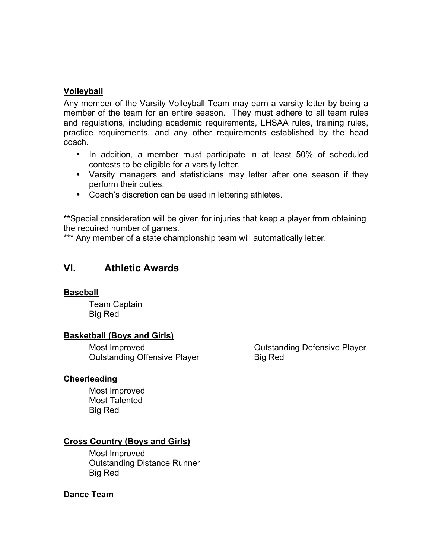#### **Volleyball**

Any member of the Varsity Volleyball Team may earn a varsity letter by being a member of the team for an entire season. They must adhere to all team rules and regulations, including academic requirements, LHSAA rules, training rules, practice requirements, and any other requirements established by the head coach.

- In addition, a member must participate in at least 50% of scheduled contests to be eligible for a varsity letter.
- Varsity managers and statisticians may letter after one season if they perform their duties.
- Coach's discretion can be used in lettering athletes.

\*\*Special consideration will be given for injuries that keep a player from obtaining the required number of games.

\*\*\* Any member of a state championship team will automatically letter.

### **VI. Athletic Awards**

#### **Baseball**

Team Captain Big Red

#### **Basketball (Boys and Girls)**

Most Improved Outstanding Offensive Player

#### **Cheerleading**

Most Improved Most Talented Big Red

#### **Cross Country (Boys and Girls)**

Most Improved Outstanding Distance Runner Big Red

#### **Dance Team**

Outstanding Defensive Player Big Red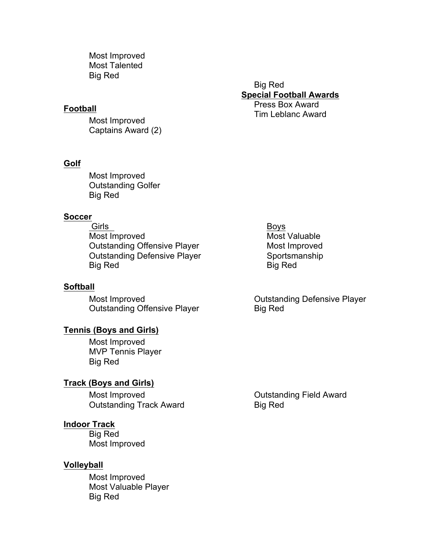Most Improved Most Talented Big Red

#### **Football**

Most Improved Captains Award (2)

#### **Golf**

Most Improved Outstanding Golfer Big Red

#### **Soccer**

Girls **Boys** Most Improved Most Valuable Outstanding Offensive Player Most Improved Outstanding Defensive Player Sportsmanship Big Red Big Red Big Red

#### **Softball**

Most Improved Outstanding Offensive Player

#### **Tennis (Boys and Girls)**

Most Improved MVP Tennis Player Big Red

#### **Track (Boys and Girls)**

Most Improved Outstanding Track Award

#### **Indoor Track**

Big Red Most Improved

#### **Volleyball**

Most Improved Most Valuable Player Big Red

Big Red **Special Football Awards**  Press Box Award Tim Leblanc Award

Outstanding Defensive Player Big Red

Outstanding Field Award Big Red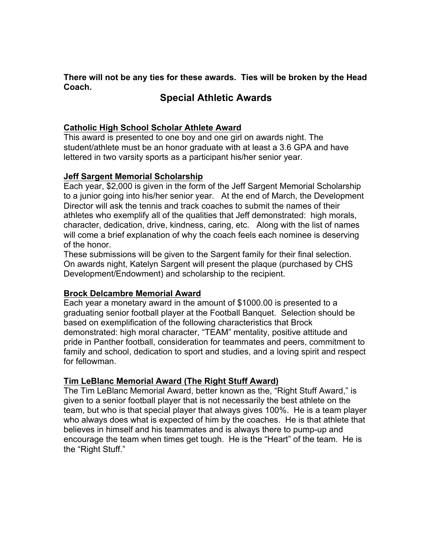**There will not be any ties for these awards. Ties will be broken by the Head Coach.**

### **Special Athletic Awards**

#### **Catholic High School Scholar Athlete Award**

This award is presented to one boy and one girl on awards night. The student/athlete must be an honor graduate with at least a 3.6 GPA and have lettered in two varsity sports as a participant his/her senior year.

#### **Jeff Sargent Memorial Scholarship**

Each year, \$2,000 is given in the form of the Jeff Sargent Memorial Scholarship to a junior going into his/her senior year. At the end of March, the Development Director will ask the tennis and track coaches to submit the names of their athletes who exemplify all of the qualities that Jeff demonstrated: high morals, character, dedication, drive, kindness, caring, etc. Along with the list of names will come a brief explanation of why the coach feels each nominee is deserving of the honor.

These submissions will be given to the Sargent family for their final selection. On awards night, Katelyn Sargent will present the plaque (purchased by CHS Development/Endowment) and scholarship to the recipient.

#### **Brock Delcambre Memorial Award**

Each year a monetary award in the amount of \$1000.00 is presented to a graduating senior football player at the Football Banquet. Selection should be based on exemplification of the following characteristics that Brock demonstrated: high moral character, "TEAM" mentality, positive attitude and pride in Panther football, consideration for teammates and peers, commitment to family and school, dedication to sport and studies, and a loving spirit and respect for fellowman.

#### **Tim LeBlanc Memorial Award (The Right Stuff Award)**

The Tim LeBlanc Memorial Award, better known as the, "Right Stuff Award," is given to a senior football player that is not necessarily the best athlete on the team, but who is that special player that always gives 100%. He is a team player who always does what is expected of him by the coaches. He is that athlete that believes in himself and his teammates and is always there to pump-up and encourage the team when times get tough. He is the "Heart" of the team. He is the "Right Stuff."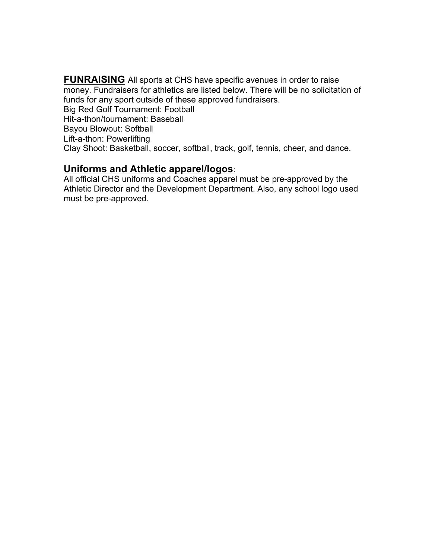**FUNRAISING** All sports at CHS have specific avenues in order to raise money. Fundraisers for athletics are listed below. There will be no solicitation of funds for any sport outside of these approved fundraisers. Big Red Golf Tournament: Football Hit-a-thon/tournament: Baseball Bayou Blowout: Softball Lift-a-thon: Powerlifting Clay Shoot: Basketball, soccer, softball, track, golf, tennis, cheer, and dance.

#### **Uniforms and Athletic apparel/logos**:

All official CHS uniforms and Coaches apparel must be pre-approved by the Athletic Director and the Development Department. Also, any school logo used must be pre-approved.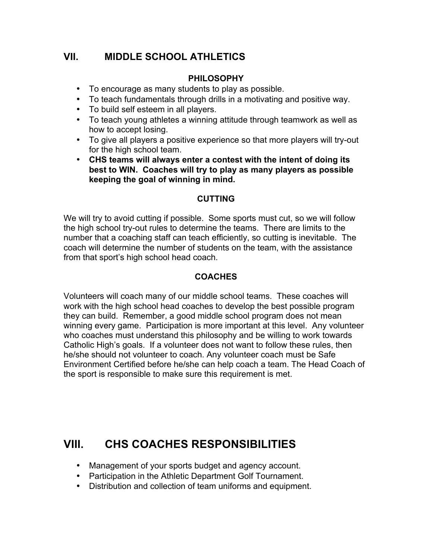## **VII. MIDDLE SCHOOL ATHLETICS**

### **PHILOSOPHY**

- To encourage as many students to play as possible.
- To teach fundamentals through drills in a motivating and positive way.
- To build self esteem in all players.
- To teach young athletes a winning attitude through teamwork as well as how to accept losing.
- To give all players a positive experience so that more players will try-out for the high school team.
- **CHS teams will always enter a contest with the intent of doing its best to WIN. Coaches will try to play as many players as possible keeping the goal of winning in mind.**

#### **CUTTING**

We will try to avoid cutting if possible. Some sports must cut, so we will follow the high school try-out rules to determine the teams. There are limits to the number that a coaching staff can teach efficiently, so cutting is inevitable. The coach will determine the number of students on the team, with the assistance from that sport's high school head coach.

#### **COACHES**

Volunteers will coach many of our middle school teams. These coaches will work with the high school head coaches to develop the best possible program they can build. Remember, a good middle school program does not mean winning every game. Participation is more important at this level. Any volunteer who coaches must understand this philosophy and be willing to work towards Catholic High's goals. If a volunteer does not want to follow these rules, then he/she should not volunteer to coach. Any volunteer coach must be Safe Environment Certified before he/she can help coach a team. The Head Coach of the sport is responsible to make sure this requirement is met.

## **VIII. CHS COACHES RESPONSIBILITIES**

- Management of your sports budget and agency account.
- Participation in the Athletic Department Golf Tournament.
- Distribution and collection of team uniforms and equipment.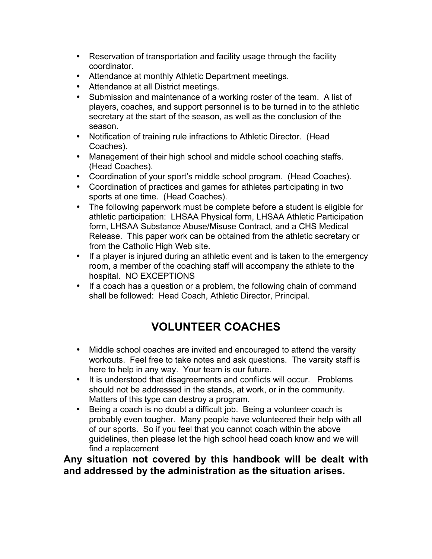- Reservation of transportation and facility usage through the facility coordinator.
- Attendance at monthly Athletic Department meetings.
- Attendance at all District meetings.
- Submission and maintenance of a working roster of the team. A list of players, coaches, and support personnel is to be turned in to the athletic secretary at the start of the season, as well as the conclusion of the season.
- Notification of training rule infractions to Athletic Director. (Head Coaches).
- Management of their high school and middle school coaching staffs. (Head Coaches).
- Coordination of your sport's middle school program. (Head Coaches).
- Coordination of practices and games for athletes participating in two sports at one time. (Head Coaches).
- The following paperwork must be complete before a student is eligible for athletic participation: LHSAA Physical form, LHSAA Athletic Participation form, LHSAA Substance Abuse/Misuse Contract, and a CHS Medical Release. This paper work can be obtained from the athletic secretary or from the Catholic High Web site.
- If a player is injured during an athletic event and is taken to the emergency room, a member of the coaching staff will accompany the athlete to the hospital. NO EXCEPTIONS
- If a coach has a question or a problem, the following chain of command shall be followed: Head Coach, Athletic Director, Principal.

# **VOLUNTEER COACHES**

- Middle school coaches are invited and encouraged to attend the varsity workouts. Feel free to take notes and ask questions. The varsity staff is here to help in any way. Your team is our future.
- It is understood that disagreements and conflicts will occur. Problems should not be addressed in the stands, at work, or in the community. Matters of this type can destroy a program.
- Being a coach is no doubt a difficult job. Being a volunteer coach is probably even tougher. Many people have volunteered their help with all of our sports. So if you feel that you cannot coach within the above guidelines, then please let the high school head coach know and we will find a replacement

**Any situation not covered by this handbook will be dealt with and addressed by the administration as the situation arises.**